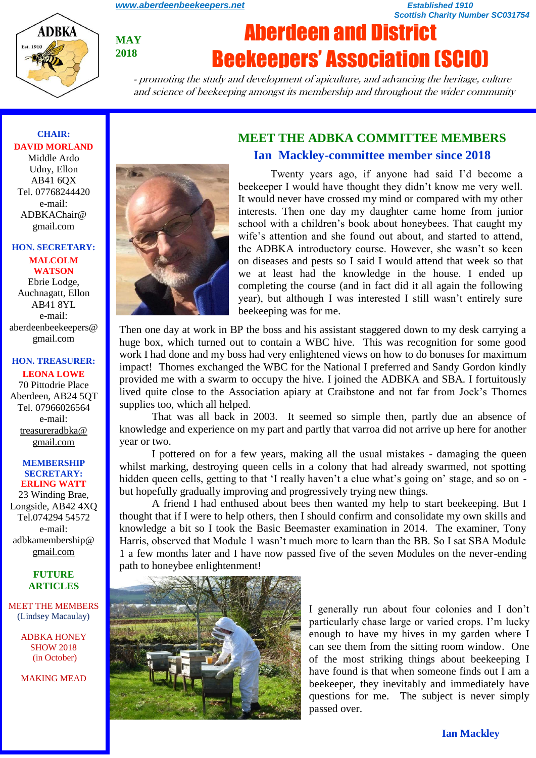*[www.aberdeenbeekeepers.net](http://www.aberdeenbeekeepers.net/) Established 1910* 

*Scottish Charity Number SC031754*



**MAY 2018**

# Aberdeen and District Beekeepers' Association (SCIO)

- promoting the study and development of apiculture, and advancing the heritage, culture and science of beekeeping amongst its membership and throughout the wider community

### **CHAIR: DAVID MORLAND**

Middle Ardo Udny, Ellon AB41 6QX Tel. 07768244420 e-mail: ADBKAChair@ gmail.com

### **HON. SECRETARY:**

**MALCOLM WATSON** Ebrie Lodge, Auchnagatt, Ellon AB41 8YL e-mail: aberdeenbeekeepers@ gmail.com

### **HON. TREASURER:**

**LEONA LOWE** 70 Pittodrie Place Aberdeen, AB24 5QT Tel. 07966026564 e-mail: [treasureradbka@](https://e.mail.ru/compose/?mailto=mailto%3atreasureradbka@gmail.com)  [gmail.com](https://e.mail.ru/compose/?mailto=mailto%3atreasureradbka@gmail.com)

#### **MEMBERSHIP SECRETARY: ERLING WATT**

23 Winding Brae, Longside, AB42 4XQ Tel.074294 54572 e-mail: [adbkamembership@](mailto:watterlingg@aol.com) [gmail.com](mailto:watterlingg@aol.com)

### **FUTURE ARTICLES**

MEET THE MEMBERS (Lindsey Macaulay)

> ADBKA HONEY SHOW 2018 (in October)

MAKING MEAD



# **MEET THE ADBKA COMMITTEE MEMBERS Ian Mackley-committee member since 2018**

Twenty years ago, if anyone had said I'd become a beekeeper I would have thought they didn't know me very well. It would never have crossed my mind or compared with my other interests. Then one day my daughter came home from junior school with a children's book about honeybees. That caught my wife's attention and she found out about, and started to attend, the ADBKA introductory course. However, she wasn't so keen on diseases and pests so I said I would attend that week so that we at least had the knowledge in the house. I ended up completing the course (and in fact did it all again the following year), but although I was interested I still wasn't entirely sure beekeeping was for me.

Then one day at work in BP the boss and his assistant staggered down to my desk carrying a huge box, which turned out to contain a WBC hive. This was recognition for some good work I had done and my boss had very enlightened views on how to do bonuses for maximum impact! Thornes exchanged the WBC for the National I preferred and Sandy Gordon kindly provided me with a swarm to occupy the hive. I joined the ADBKA and SBA. I fortuitously lived quite close to the Association apiary at Craibstone and not far from Jock's Thornes supplies too, which all helped.

That was all back in 2003. It seemed so simple then, partly due an absence of knowledge and experience on my part and partly that varroa did not arrive up here for another year or two.

I pottered on for a few years, making all the usual mistakes - damaging the queen whilst marking, destroying queen cells in a colony that had already swarmed, not spotting hidden queen cells, getting to that 'I really haven't a clue what's going on' stage, and so on but hopefully gradually improving and progressively trying new things.

A friend I had enthused about bees then wanted my help to start beekeeping. But I thought that if I were to help others, then I should confirm and consolidate my own skills and knowledge a bit so I took the Basic Beemaster examination in 2014. The examiner, Tony Harris, observed that Module 1 wasn't much more to learn than the BB. So I sat SBA Module 1 a few months later and I have now passed five of the seven Modules on the never-ending path to honeybee enlightenment!



I generally run about four colonies and I don't particularly chase large or varied crops. I'm lucky enough to have my hives in my garden where I can see them from the sitting room window. One of the most striking things about beekeeping I have found is that when someone finds out I am a beekeeper, they inevitably and immediately have questions for me. The subject is never simply passed over.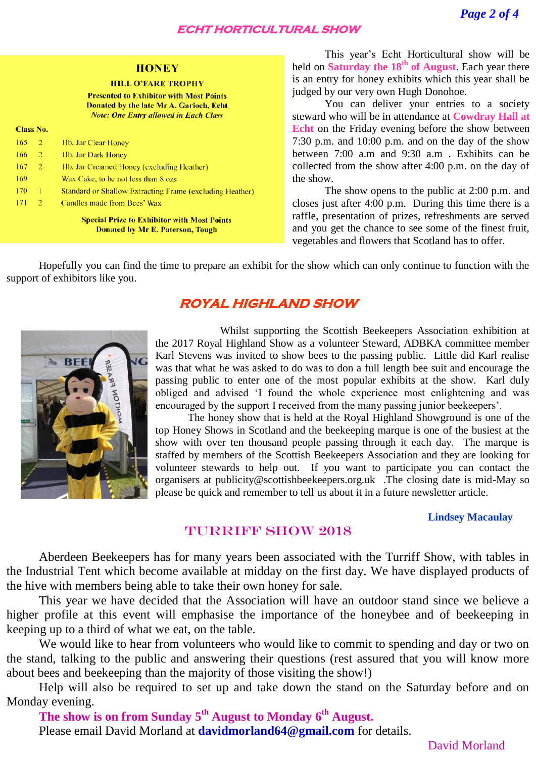### **ECHT HORTICULTURAL SHOW**

### **HONEY**

#### **HILL O'FARE TROPHY**

**Presented to Exhibitor with Most Points** Donated by the late Mr A. Garioch, Echt **Note: One Entry allowed in Each Class** 

| <b>Class No.</b> |    |                                                                 |
|------------------|----|-----------------------------------------------------------------|
| 165              | -2 | 11b. Jar Clear Honey                                            |
| 166              | -2 | 11b. Jar Dark Honey                                             |
| 167              | -2 | 11b. Jar Creamed Honey (excluding Heather)                      |
| 169              |    | Wax Cake, to be not less than 8 ozs.                            |
| 170              | Т. | <b>Standard or Shallow Extracting Frame (excluding Heather)</b> |
| 171              | 2  | Candles made from Bees' Wax                                     |
|                  |    |                                                                 |

**Special Prize to Exhibitor with Most Points Donated by Mr E. Paterson, Tough** 

This year's Echt Horticultural show will be held on **Saturday the 18th of August**. Each year there is an entry for honey exhibits which this year shall be judged by our very own Hugh Donohoe.

You can deliver your entries to a society steward who will be in attendance at **Cowdray Hall at Echt** on the Friday evening before the show between 7:30 p.m. and 10:00 p.m. and on the day of the show between 7:00 a.m and 9:30 a.m . Exhibits can be collected from the show after 4:00 p.m. on the day of the show.

The show opens to the public at 2:00 p.m. and closes just after 4:00 p.m. During this time there is a raffle, presentation of prizes, refreshments are served and you get the chance to see some of the finest fruit, vegetables and flowers that Scotland has to offer.

Hopefully you can find the time to prepare an exhibit for the show which can only continue to function with the support of exhibitors like you.

# **ROYAL HIGHLAND SHOW**



Whilst supporting the Scottish Beekeepers Association exhibition at the 2017 Royal Highland Show as a volunteer Steward, ADBKA committee member Karl Stevens was invited to show bees to the passing public. Little did Karl realise was that what he was asked to do was to don a full length bee suit and encourage the passing public to enter one of the most popular exhibits at the show. Karl duly obliged and advised 'I found the whole experience most enlightening and was encouraged by the support I received from the many passing junior beekeepers'.

The honey show that is held at the Royal Highland Showground is one of the top Honey Shows in Scotland and the beekeeping marque is one of the busiest at the show with over ten thousand people passing through it each day. The marque is staffed by members of the Scottish Beekeepers Association and they are looking for volunteer stewards to help out. If you want to participate you can contact the organisers at publicity@scottishbeekeepers.org.uk .The closing date is mid-May so please be quick and remember to tell us about it in a future newsletter article.

### **Lindsey Macaulay**

### TURRIFF SHOW 2018

Aberdeen Beekeepers has for many years been associated with the Turriff Show, with tables in the Industrial Tent which become available at midday on the first day. We have displayed products of the hive with members being able to take their own honey for sale.

This year we have decided that the Association will have an outdoor stand since we believe a higher profile at this event will emphasise the importance of the honeybee and of beekeeping in keeping up to a third of what we eat, on the table.

We would like to hear from volunteers who would like to commit to spending and day or two on the stand, talking to the public and answering their questions (rest assured that you will know more about bees and beekeeping than the majority of those visiting the show!)

Help will also be required to set up and take down the stand on the Saturday before and on Monday evening.

**The show is on from Sunday 5th August to Monday 6th August.** 

Please email David Morland at **davidmorland64@gmail.com** for details.

David Morland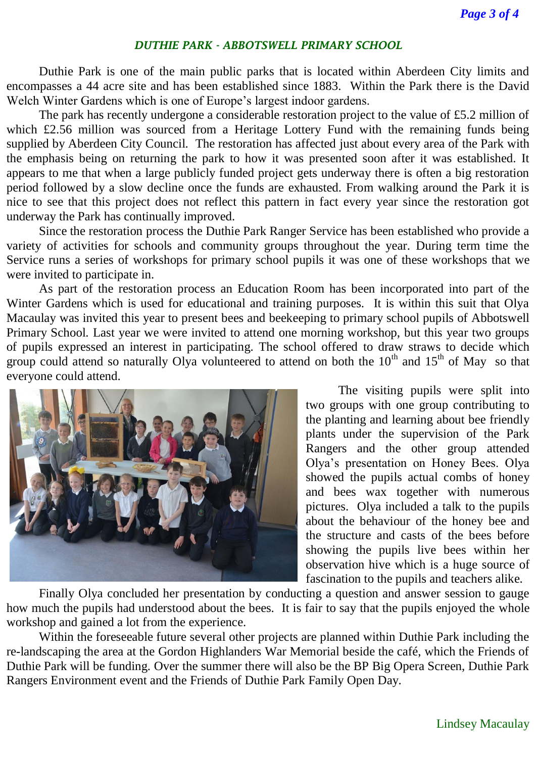### *DUTHIE PARK - ABBOTSWELL PRIMARY SCHOOL*

Duthie Park is one of the main public parks that is located within Aberdeen City limits and encompasses a 44 acre site and has been established since 1883. Within the Park there is the David Welch Winter Gardens which is one of Europe's largest indoor gardens.

The park has recently undergone a considerable restoration project to the value of £5.2 million of which £2.56 million was sourced from a Heritage Lottery Fund with the remaining funds being supplied by Aberdeen City Council. The restoration has affected just about every area of the Park with the emphasis being on returning the park to how it was presented soon after it was established. It appears to me that when a large publicly funded project gets underway there is often a big restoration period followed by a slow decline once the funds are exhausted. From walking around the Park it is nice to see that this project does not reflect this pattern in fact every year since the restoration got underway the Park has continually improved.

Since the restoration process the Duthie Park Ranger Service has been established who provide a variety of activities for schools and community groups throughout the year. During term time the Service runs a series of workshops for primary school pupils it was one of these workshops that we were invited to participate in.

As part of the restoration process an Education Room has been incorporated into part of the Winter Gardens which is used for educational and training purposes. It is within this suit that Olya Macaulay was invited this year to present bees and beekeeping to primary school pupils of Abbotswell Primary School. Last year we were invited to attend one morning workshop, but this year two groups of pupils expressed an interest in participating. The school offered to draw straws to decide which group could attend so naturally Olya volunteered to attend on both the  $10^{th}$  and  $15^{th}$  of May so that everyone could attend.



The visiting pupils were split into two groups with one group contributing to the planting and learning about bee friendly plants under the supervision of the Park Rangers and the other group attended Olya's presentation on Honey Bees. Olya showed the pupils actual combs of honey and bees wax together with numerous pictures. Olya included a talk to the pupils about the behaviour of the honey bee and the structure and casts of the bees before showing the pupils live bees within her observation hive which is a huge source of fascination to the pupils and teachers alike.

Finally Olya concluded her presentation by conducting a question and answer session to gauge how much the pupils had understood about the bees. It is fair to say that the pupils enjoyed the whole workshop and gained a lot from the experience.

Within the foreseeable future several other projects are planned within Duthie Park including the re-landscaping the area at the Gordon Highlanders War Memorial beside the café, which the Friends of Duthie Park will be funding. Over the summer there will also be the BP Big Opera Screen, Duthie Park Rangers Environment event and the Friends of Duthie Park Family Open Day.